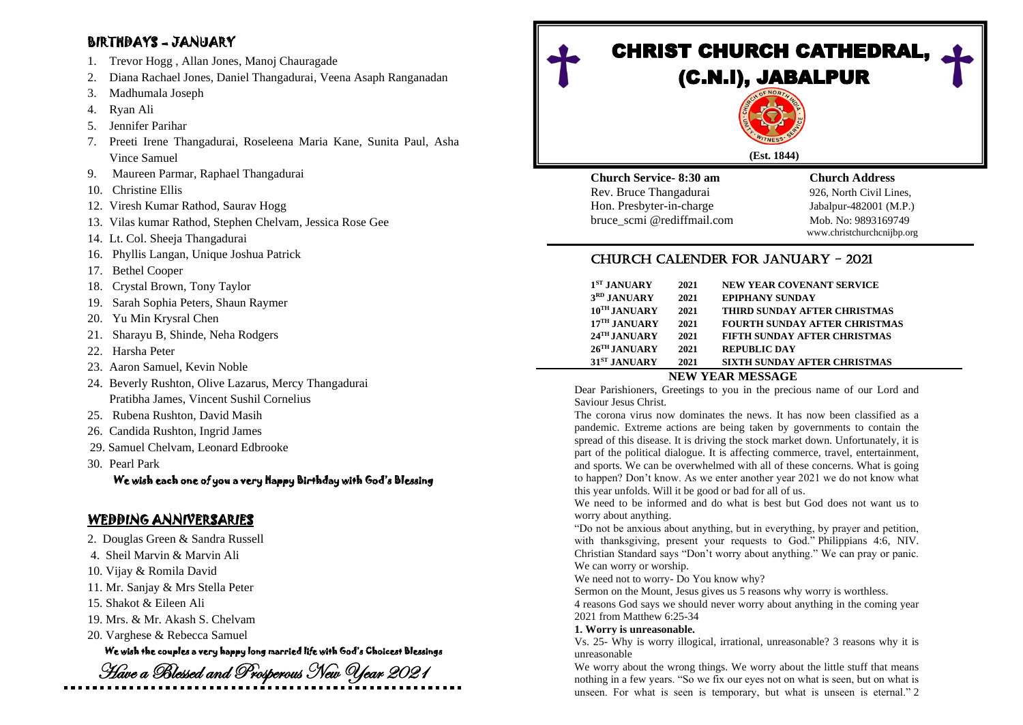# BIRTHDAYS – JANUARY

- 1. Trevor Hogg , Allan Jones, Manoj Chauragade
- 2. Diana Rachael Jones, Daniel Thangadurai, Veena Asaph Ranganadan
- 3. Madhumala Joseph
- 4. Ryan Ali
- 5. Jennifer Parihar
- 7. Preeti Irene Thangadurai, Roseleena Maria Kane, Sunita Paul, Asha Vince Samuel
- 9. Maureen Parmar, Raphael Thangadurai
- 10. Christine Ellis
- 12. Viresh Kumar Rathod, Saurav Hogg
- 13. Vilas kumar Rathod, Stephen Chelvam, Jessica Rose Gee
- 14. Lt. Col. Sheeja Thangadurai
- 16. Phyllis Langan, Unique Joshua Patrick
- 17. Bethel Cooper
- 18. Crystal Brown, Tony Taylor
- 19. Sarah Sophia Peters, Shaun Raymer
- 20. Yu Min Krysral Chen
- 21. Sharayu B, Shinde, Neha Rodgers
- 22. Harsha Peter
- 23. Aaron Samuel, Kevin Noble
- 24. Beverly Rushton, Olive Lazarus, Mercy Thangadurai Pratibha James, Vincent Sushil Cornelius
- 25. Rubena Rushton, David Masih
- 26. Candida Rushton, Ingrid James
- 29. Samuel Chelvam, Leonard Edbrooke
- 30. Pearl Park

We wish each one of you a very Happy Birthday with God's Blessing

# WEDDING ANNIVERSARIES

- 2. Douglas Green & Sandra Russell
- 4. Sheil Marvin & Marvin Ali
- 10. Vijay & Romila David
- 11. Mr. Sanjay & Mrs Stella Peter
- 15. Shakot & Eileen Ali
- 19. Mrs. & Mr. Akash S. Chelvam
- 20. Varghese & Rebecca Samuel

# We wish the couples a very happy long married life with God's Choicest Blessings

Have a Blessed and Prosperous New Year 2021

# **CHRIST CHURCH CATHEDRAL.** (C.N.I), JABALPUR

## **(Est. 1844)**

**Church Service- 8:30 am Church Address**  Rev. Bruce Thangadurai 926, North Civil Lines, Hon. Presbyter-in-charge Jabalpur-482001 (M.P.) bruce\_scmi @rediffmail.com Mob. No: 9893169749

www.christchurchcnijbp.org

# CHURCH CALENDER FOR JANUARY - 2021

|  | 31 <sup>ST</sup> JANUARY   | 2021 | <b>SIXTH SUNDAY AFTER CHRISTMAS</b>  |  |
|--|----------------------------|------|--------------------------------------|--|
|  | $26$ <sup>TH</sup> JANUARY | 2021 | <b>REPUBLIC DAY</b>                  |  |
|  | $24$ <sup>TH</sup> JANUARY | 2021 | <b>FIFTH SUNDAY AFTER CHRISTMAS</b>  |  |
|  | $17TH$ JANUARY             | 2021 | <b>FOURTH SUNDAY AFTER CHRISTMAS</b> |  |
|  | 10 <sup>TH</sup> JANUARY   | 2021 | THIRD SUNDAY AFTER CHRISTMAS         |  |
|  | 3RD JANUARY                | 2021 | <b>EPIPHANY SUNDAY</b>               |  |
|  | $1ST$ JANUARY              | 2021 | <b>NEW YEAR COVENANT SERVICE</b>     |  |
|  |                            |      |                                      |  |

## **NEW YEAR MESSAGE**

Dear Parishioners, Greetings to you in the precious name of our Lord and Saviour Jesus Christ.

The corona virus now dominates the news. It has now been classified as a pandemic. Extreme actions are being taken by governments to contain the spread of this disease. It is driving the stock market down. Unfortunately, it is part of the political dialogue. It is affecting commerce, travel, entertainment, and sports. We can be overwhelmed with all of these concerns. What is going to happen? Don't know. As we enter another year 2021 we do not know what this year unfolds. Will it be good or bad for all of us.

We need to be informed and do what is best but God does not want us to worry about anything.

"Do not be anxious about anything, but in everything, by prayer and petition, with thanksgiving, present your requests to God." Philippians 4:6, NIV. Christian Standard says "Don't worry about anything." We can pray or panic. We can worry or worship.

We need not to worry- Do You know why?

Sermon on the Mount, Jesus gives us 5 reasons why worry is worthless.

4 reasons God says we should never worry about anything in the coming year 2021 from Matthew 6:25-34

## **1. Worry is unreasonable.**

Vs. 25- Why is worry illogical, irrational, unreasonable? 3 reasons why it is unreasonable

We worry about the wrong things. We worry about the little stuff that means nothing in a few years. "So we fix our eyes not on what is seen, but on what is unseen. For what is seen is temporary, but what is unseen is eternal." 2